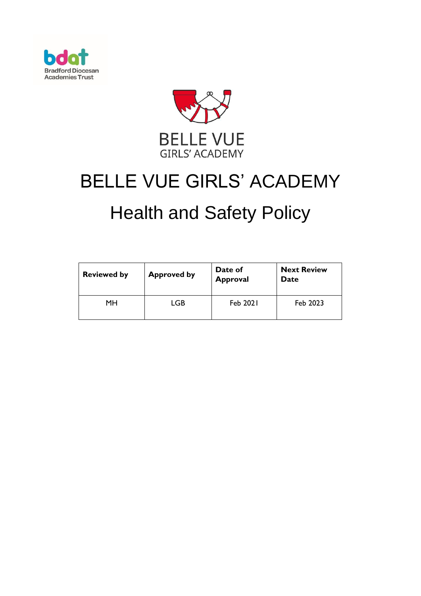



# BELLE VUE GIRLS' ACADEMY

# Health and Safety Policy

| <b>Reviewed by</b> | <b>Approved by</b> | Date of<br><b>Approval</b> | <b>Next Review</b><br>Date |
|--------------------|--------------------|----------------------------|----------------------------|
| MН                 | LGB                | Feb 2021                   | Feb 2023                   |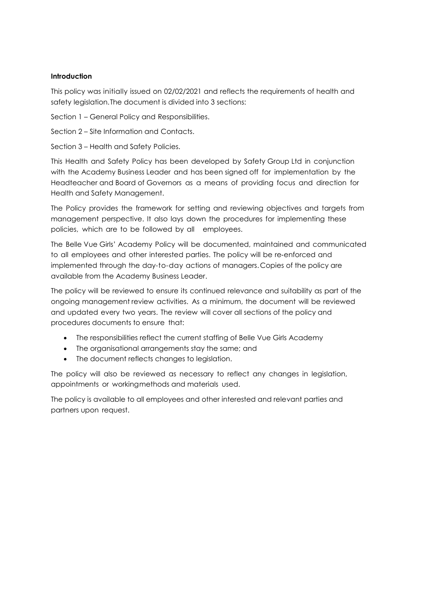# **Introduction**

This policy was initially issued on 02/02/2021 and reflects the requirements of health and safety legislation.The document is divided into 3 sections:

Section 1 – General Policy and Responsibilities.

Section 2 – Site Information and Contacts.

Section 3 – Health and Safety Policies.

This Health and Safety Policy has been developed by Safety Group Ltd in conjunction with the Academy Business Leader and has been signed off for implementation by the Headteacher and Board of Governors as a means of providing focus and direction for Health and Safety Management.

The Policy provides the framework for setting and reviewing objectives and targets from management perspective. It also lays down the procedures for implementing these policies, which are to be followed by all employees.

The Belle Vue Girls' Academy Policy will be documented, maintained and communicated to all employees and other interested parties. The policy will be re-enforced and implemented through the day-to-day actions of managers. Copies of the policy are available from the Academy Business Leader.

The policy will be reviewed to ensure its continued relevance and suitability as part of the ongoing management review activities. As a minimum, the document will be reviewed and updated every two years. The review will cover all sections of the policy and procedures documents to ensure that:

- The responsibilities reflect the current staffing of Belle Vue Girls Academy
- The organisational arrangements stay the same; and
- The document reflects changes to legislation.

The policy will also be reviewed as necessary to reflect any changes in legislation, appointments or workingmethods and materials used.

The policy is available to all employees and other interested and relevant parties and partners upon request.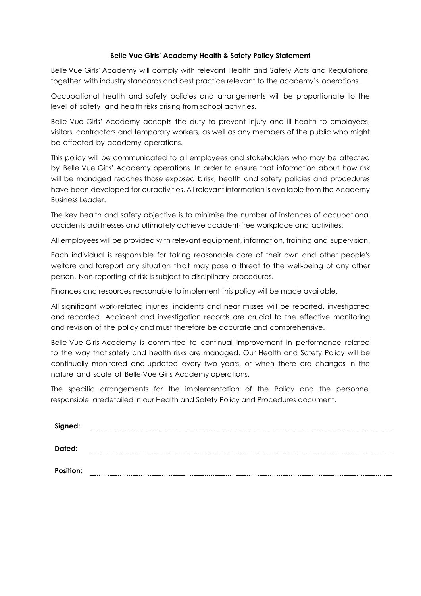#### **Belle Vue Girls' Academy Health & Safety Policy Statement**

Belle Vue Girls' Academy will comply with relevant Health and Safety Acts and Regulations, together with industry standards and best practice relevant to the academy's operations.

Occupational health and safety policies and arrangements will be proportionate to the level of safety and health risks arising from school activities.

Belle Vue Girls' Academy accepts the duty to prevent injury and ill health to employees, visitors, contractors and temporary workers, as well as any members of the public who might be affected by academy operations.

This policy will be communicated to all employees and stakeholders who may be affected by Belle Vue Girls' Academy operations. In order to ensure that information about how risk will be managed reaches those exposed brisk, health and safety policies and procedures have been developed for ouractivities. All relevant information is available from the Academy Business Leader.

The key health and safety objective is to minimise the number of instances of occupational accidents andillnesses and ultimately achieve accident‐free workplace and activities.

All employees will be provided with relevant equipment, information, training and supervision.

Each individual is responsible for taking reasonable care of their own and other people's welfare and toreport any situation that may pose a threat to the well‐being of any other person. Non‐reporting of risk is subject to disciplinary procedures.

Finances and resources reasonable to implement this policy will be made available.

All significant work‐related injuries, incidents and near misses will be reported, investigated and recorded. Accident and investigation records are crucial to the effective monitoring and revision of the policy and must therefore be accurate and comprehensive.

Belle Vue Girls Academy is committed to continual improvement in performance related to the way that safety and health risks are managed. Our Health and Safety Policy will be continually monitored and updated every two years, or when there are changes in the nature and scale of Belle Vue Girls Academy operations.

The specific arrangements for the implementation of the Policy and the personnel responsible aredetailed in our Health and Safety Policy and Procedures document.

| Signed:   |  |
|-----------|--|
| Dated:    |  |
| Position: |  |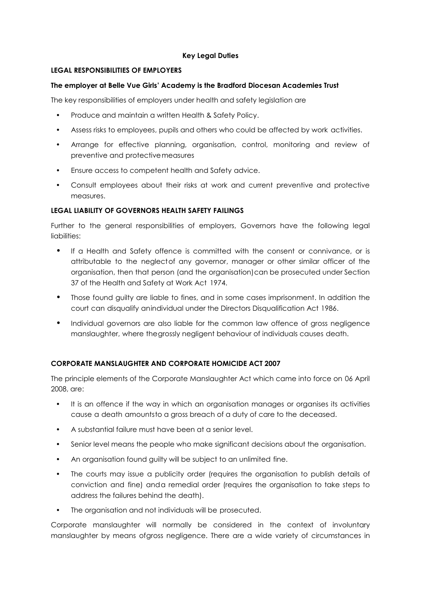# **Key Legal Duties**

# **LEGAL RESPONSIBILITIES OF EMPLOYERS**

# **The employer at Belle Vue Girls' Academy is the Bradford Diocesan Academies Trust**

The key responsibilities of employers under health and safety legislation are

- Produce and maintain a written Health & Safety Policy.
- Assess risks to employees, pupils and others who could be affected by work activities.
- Arrange for effective planning, organisation, control, monitoring and review of preventive and protectivemeasures
- Ensure access to competent health and Safety advice.
- Consult employees about their risks at work and current preventive and protective measures.

# **LEGAL LIABILITY OF GOVERNORS HEALTH SAFETY FAILINGS**

Further to the general responsibilities of employers, Governors have the following legal liabilities:

- If a Health and Safety offence is committed with the consent or connivance, or is attributable to the neglectof any governor, manager or other similar officer of the organisation, then that person (and the organisation)can be prosecuted under Section 37 of the Health and Safety at Work Act 1974.
- Those found guilty are liable to fines, and in some cases imprisonment. In addition the court can disqualify anindividual under the Directors Disqualification Act 1986.
- Individual governors are also liable for the common law offence of gross negligence manslaughter, where thegrossly negligent behaviour of individuals causes death.

# **CORPORATE MANSLAUGHTER AND CORPORATE HOMICIDE ACT 2007**

The principle elements of the Corporate Manslaughter Act which came into force on 06 April 2008, are:

- It is an offence if the way in which an organisation manages or organises its activities cause a death amountsto a gross breach of a duty of care to the deceased.
- A substantial failure must have been at a senior level.
- Senior level means the people who make significant decisions about the organisation.
- An organisation found guilty will be subject to an unlimited fine.
- The courts may issue a publicity order (requires the organisation to publish details of conviction and fine) anda remedial order (requires the organisation to take steps to address the failures behind the death).
- The organisation and not individuals will be prosecuted.

Corporate manslaughter will normally be considered in the context of involuntary manslaughter by means ofgross negligence. There are a wide variety of circumstances in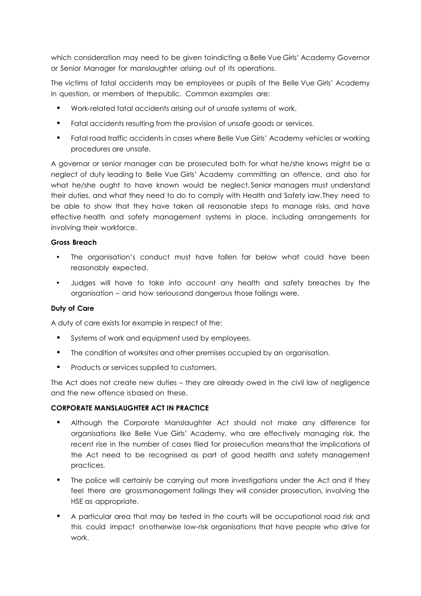which consideration may need to be given toindicting a Belle Vue Girls' Academy Governor or Senior Manager for manslaughter arising out of its operations.

The victims of fatal accidents may be employees or pupils of the Belle Vue Girls' Academy in question, or members of thepublic. Common examples are:

- Work‐related fatal accidents arising out of unsafe systems of work.
- Fatal accidents resulting from the provision of unsafe goods or services.
- Fatal road traffic accidents in cases where Belle Vue Girls' Academy vehicles or working procedures are unsafe.

A governor or senior manager can be prosecuted both for what he/she knows might be a neglect of duty leading to Belle Vue Girls' Academy committing an offence, and also for what he/she ought to have known would be neglect. Senior managers must understand their duties, and what they need to do to comply with Health and Safety law.They need to be able to show that they have taken all reasonable steps to manage risks, and have effective health and safety management systems in place, including arrangements for involving their workforce.

#### **Gross Breach**

- The organisation's conduct must have fallen far below what could have been reasonably expected.
- Judges will have to take into account any health and safety breaches by the organisation – and how seriousand dangerous those failings were.

# **Duty of Care**

A duty of care exists for example in respect of the:

- Systems of work and equipment used by employees.
- The condition of worksites and other premises occupied by an organisation.
- Products or services supplied to customers.

The Act does not create new duties – they are already owed in the civil law of negligence and the new offence isbased on these.

#### **CORPORATE MANSLAUGHTER ACT IN PRACTICE**

- Although the Corporate Manslaughter Act should not make any difference for organisations like Belle Vue Girls' Academy, who are effectively managing risk, the recent rise in the number of cases filed for prosecution meansthat the implications of the Act need to be recognised as part of good health and safety management practices.
- The police will certainly be carrying out more investigations under the Act and if they feel there are grossmanagement failings they will consider prosecution, involving the HSE as appropriate.
- A particular area that may be tested in the courts will be occupational road risk and this could impact onotherwise low-risk organisations that have people who drive for work.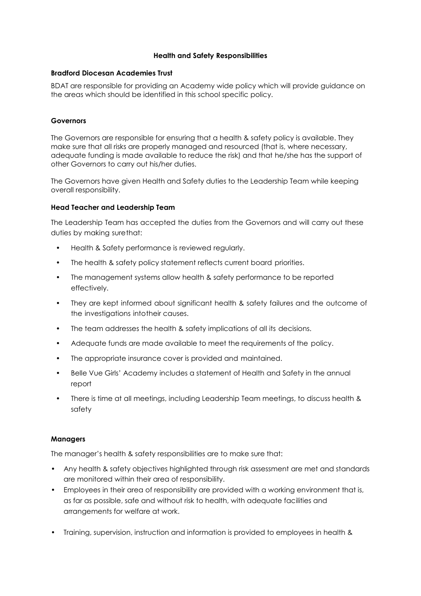#### **Health and Safety Responsibilities**

#### **Bradford Diocesan Academies Trust**

BDAT are responsible for providing an Academy wide policy which will provide guidance on the areas which should be identified in this school specific policy.

#### **Governors**

The Governors are responsible for ensuring that a health & safety policy is available. They make sure that all risks are properly managed and resourced (that is, where necessary, adequate funding is made available to reduce the risk) and that he/she has the support of other Governors to carry out his/her duties.

The Governors have given Health and Safety duties to the Leadership Team while keeping overall responsibility.

#### **Head Teacher and Leadership Team**

The Leadership Team has accepted the duties from the Governors and will carry out these duties by making surethat:

- Health & Safety performance is reviewed regularly.
- The health & safety policy statement reflects current board priorities.
- The management systems allow health & safety performance to be reported effectively.
- They are kept informed about significant health & safety failures and the outcome of the investigations intotheir causes.
- The team addresses the health & safety implications of all its decisions.
- Adequate funds are made available to meet the requirements of the policy.
- The appropriate insurance cover is provided and maintained.
- Belle Vue Girls' Academy includes a statement of Health and Safety in the annual report
- There is time at all meetings, including Leadership Team meetings, to discuss health & safety

#### **Managers**

The manager's health & safety responsibilities are to make sure that:

- Any health & safety objectives highlighted through risk assessment are met and standards are monitored within their area of responsibility.
- Employees in their area of responsibility are provided with a working environment that is, as far as possible, safe and without risk to health, with adequate facilities and arrangements for welfare at work.
- Training, supervision, instruction and information is provided to employees in health &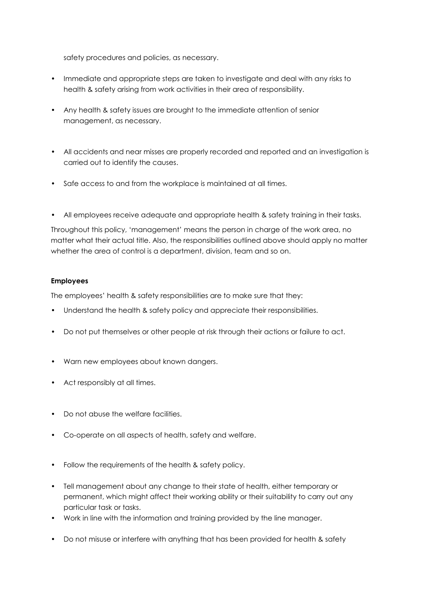safety procedures and policies, as necessary.

- Immediate and appropriate steps are taken to investigate and deal with any risks to health & safety arising from work activities in their area of responsibility.
- Any health & safety issues are brought to the immediate attention of senior management, as necessary.
- All accidents and near misses are properly recorded and reported and an investigation is carried out to identify the causes.
- Safe access to and from the workplace is maintained at all times.
- All employees receive adequate and appropriate health & safety training in their tasks.

Throughout this policy, 'management' means the person in charge of the work area, no matter what their actual title. Also, the responsibilities outlined above should apply no matter whether the area of control is a department, division, team and so on.

# **Employees**

The employees' health & safety responsibilities are to make sure that they:

- Understand the health & safety policy and appreciate their responsibilities.
- Do not put themselves or other people at risk through their actions or failure to act.
- Warn new employees about known dangers.
- Act responsibly at all times.
- Do not abuse the welfare facilities.
- Co-operate on all aspects of health, safety and welfare.
- Follow the requirements of the health & safety policy.
- Tell management about any change to their state of health, either temporary or permanent, which might affect their working ability or their suitability to carry out any particular task or tasks.
- Work in line with the information and training provided by the line manager.
- Do not misuse or interfere with anything that has been provided for health & safety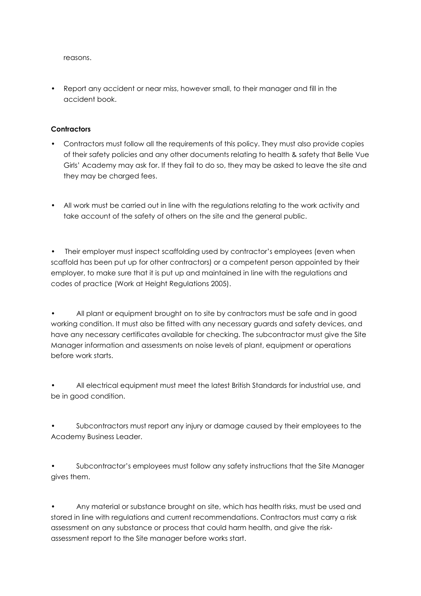reasons.

• Report any accident or near miss, however small, to their manager and fill in the accident book.

# **Contractors**

- Contractors must follow all the requirements of this policy. They must also provide copies of their safety policies and any other documents relating to health & safety that Belle Vue Girls' Academy may ask for. If they fail to do so, they may be asked to leave the site and they may be charged fees.
- All work must be carried out in line with the regulations relating to the work activity and take account of the safety of others on the site and the general public.

• Their employer must inspect scaffolding used by contractor's employees (even when scaffold has been put up for other contractors) or a competent person appointed by their employer, to make sure that it is put up and maintained in line with the regulations and codes of practice (Work at Height Regulations 2005).

All plant or equipment brought on to site by contractors must be safe and in good working condition. It must also be fitted with any necessary guards and safety devices, and have any necessary certificates available for checking. The subcontractor must give the Site Manager information and assessments on noise levels of plant, equipment or operations before work starts.

• All electrical equipment must meet the latest British Standards for industrial use, and be in good condition.

Subcontractors must report any injury or damage caused by their employees to the Academy Business Leader.

• Subcontractor's employees must follow any safety instructions that the Site Manager gives them.

• Any material or substance brought on site, which has health risks, must be used and stored in line with regulations and current recommendations. Contractors must carry a risk assessment on any substance or process that could harm health, and give the risk‐ assessment report to the Site manager before works start.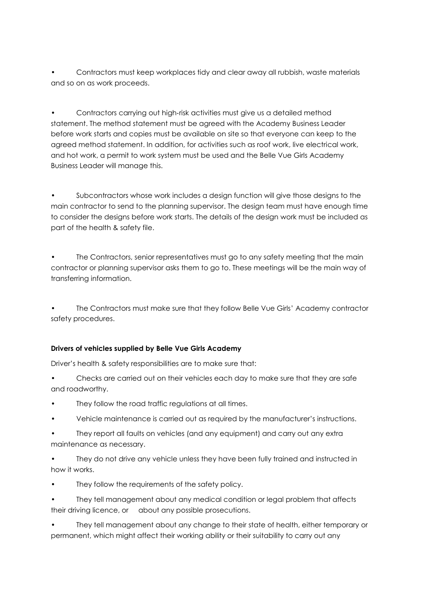• Contractors must keep workplaces tidy and clear away all rubbish, waste materials and so on as work proceeds.

• Contractors carrying out high‐risk activities must give us a detailed method statement. The method statement must be agreed with the Academy Business Leader before work starts and copies must be available on site so that everyone can keep to the agreed method statement. In addition, for activities such as roof work, live electrical work, and hot work, a permit to work system must be used and the Belle Vue Girls Academy Business Leader will manage this.

• Subcontractors whose work includes a design function will give those designs to the main contractor to send to the planning supervisor. The design team must have enough time to consider the designs before work starts. The details of the design work must be included as part of the health & safety file.

• The Contractors, senior representatives must go to any safety meeting that the main contractor or planning supervisor asks them to go to. These meetings will be the main way of transferring information.

• The Contractors must make sure that they follow Belle Vue Girls' Academy contractor safety procedures.

# **Drivers of vehicles supplied by Belle Vue Girls Academy**

Driver's health & safety responsibilities are to make sure that:

• Checks are carried out on their vehicles each day to make sure that they are safe and roadworthy.

- They follow the road traffic regulations at all times.
- Vehicle maintenance is carried out as required by the manufacturer's instructions.
- They report all faults on vehicles (and any equipment) and carry out any extra maintenance as necessary.

• They do not drive any vehicle unless they have been fully trained and instructed in how it works.

They follow the requirements of the safety policy.

• They tell management about any medical condition or legal problem that affects their driving licence, or about any possible prosecutions.

• They tell management about any change to their state of health, either temporary or permanent, which might affect their working ability or their suitability to carry out any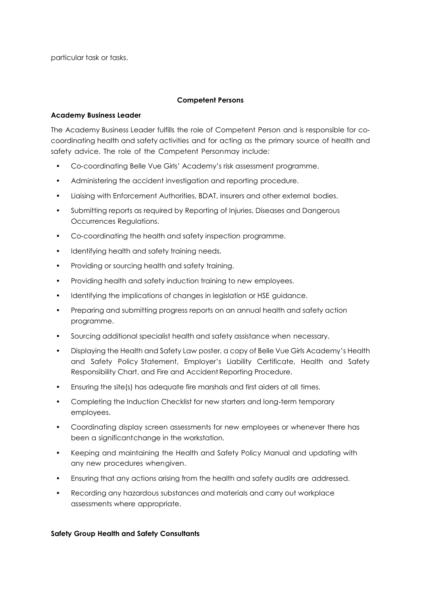particular task or tasks.

#### **Competent Persons**

#### **Academy Business Leader**

The Academy Business Leader fulfills the role of Competent Person and is responsible for co‐ coordinating health and safety activities and for acting as the primary source of health and safety advice. The role of the Competent Personmay include:

- Co‐coordinating Belle Vue Girls' Academy's risk assessment programme.
- Administering the accident investigation and reporting procedure.
- Liaising with Enforcement Authorities, BDAT, insurers and other external bodies.
- Submitting reports as required by Reporting of Injuries, Diseases and Dangerous Occurrences Regulations.
- Co-coordinating the health and safety inspection programme.
- Identifying health and safety training needs.
- Providing or sourcing health and safety training.
- Providing health and safety induction training to new employees.
- Identifying the implications of changes in legislation or HSE guidance.
- Preparing and submitting progress reports on an annual health and safety action programme.
- Sourcing additional specialist health and safety assistance when necessary.
- Displaying the Health and Safety Law poster, a copy of Belle Vue Girls Academy's Health and Safety Policy Statement, Employer's Liability Certificate, Health and Safety Responsibility Chart, and Fire and Accident Reporting Procedure.
- Ensuring the site(s) has adequate fire marshals and first aiders at all times.
- Completing the Induction Checklist for new starters and long‐term temporary employees.
- Coordinating display screen assessments for new employees or whenever there has been a significantchange in the workstation.
- Keeping and maintaining the Health and Safety Policy Manual and updating with any new procedures whengiven.
- Ensuring that any actions arising from the health and safety audits are addressed.
- Recording any hazardous substances and materials and carry out workplace assessments where appropriate.

#### **Safety Group Health and Safety Consultants**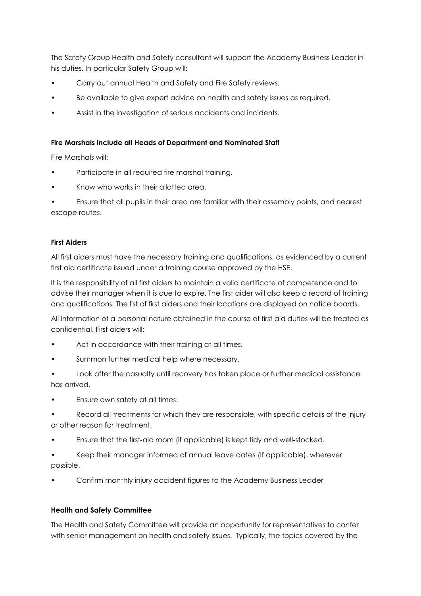The Safety Group Health and Safety consultant will support the Academy Business Leader in his duties. In particular Safety Group will:

- Carry out annual Health and Safety and Fire Safety reviews.
- Be available to give expert advice on health and safety issues as required.
- Assist in the investigation of serious accidents and incidents.

#### **Fire Marshals include all Heads of Department and Nominated Staff**

Fire Marshals will:

- Participate in all required fire marshal training.
- Know who works in their allotted area.
- Ensure that all pupils in their area are familiar with their assembly points, and nearest escape routes.

#### **First Aiders**

All first aiders must have the necessary training and qualifications, as evidenced by a current first aid certificate issued under a training course approved by the HSE.

It is the responsibility of all first aiders to maintain a valid certificate of competence and to advise their manager when it is due to expire. The first aider will also keep a record of training and qualifications. The list of first aiders and their locations are displayed on notice boards.

All information of a personal nature obtained in the course of first aid duties will be treated as confidential. First aiders will:

- Act in accordance with their training at all times.
- Summon further medical help where necessary.
- Look after the casualty until recovery has taken place or further medical assistance has arrived.
- Ensure own safety at all times.
- Record all treatments for which they are responsible, with specific details of the injury or other reason for treatment.
- Ensure that the first‐aid room (if applicable) is kept tidy and well‐stocked.
- Keep their manager informed of annual leave dates (If applicable), wherever possible.
- Confirm monthly injury accident figures to the Academy Business Leader

# **Health and Safety Committee**

The Health and Safety Committee will provide an opportunity for representatives to confer with senior management on health and safety issues. Typically, the topics covered by the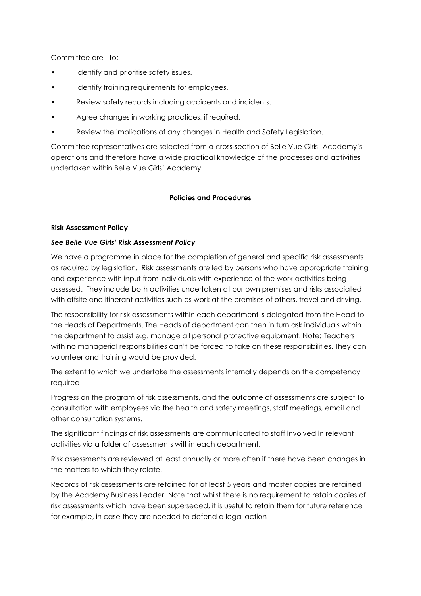Committee are to:

- Identify and prioritise safety issues.
- Identify training requirements for employees.
- Review safety records including accidents and incidents.
- Agree changes in working practices, if required.
- Review the implications of any changes in Health and Safety Legislation.

Committee representatives are selected from a cross‐section of Belle Vue Girls' Academy's operations and therefore have a wide practical knowledge of the processes and activities undertaken within Belle Vue Girls' Academy.

#### **Policies and Procedures**

#### **Risk Assessment Policy**

#### *See Belle Vue Girls' Risk Assessment Policy*

We have a programme in place for the completion of general and specific risk assessments as required by legislation. Risk assessments are led by persons who have appropriate training and experience with input from individuals with experience of the work activities being assessed. They include both activities undertaken at our own premises and risks associated with offsite and itinerant activities such as work at the premises of others, travel and driving.

The responsibility for risk assessments within each department is delegated from the Head to the Heads of Departments. The Heads of department can then in turn ask individuals within the department to assist e.g. manage all personal protective equipment. Note: Teachers with no managerial responsibilities can't be forced to take on these responsibilities. They can volunteer and training would be provided.

The extent to which we undertake the assessments internally depends on the competency required

Progress on the program of risk assessments, and the outcome of assessments are subject to consultation with employees via the health and safety meetings, staff meetings, email and other consultation systems.

The significant findings of risk assessments are communicated to staff involved in relevant activities via a folder of assessments within each department.

Risk assessments are reviewed at least annually or more often if there have been changes in the matters to which they relate.

Records of risk assessments are retained for at least 5 years and master copies are retained by the Academy Business Leader. Note that whilst there is no requirement to retain copies of risk assessments which have been superseded, it is useful to retain them for future reference for example, in case they are needed to defend a legal action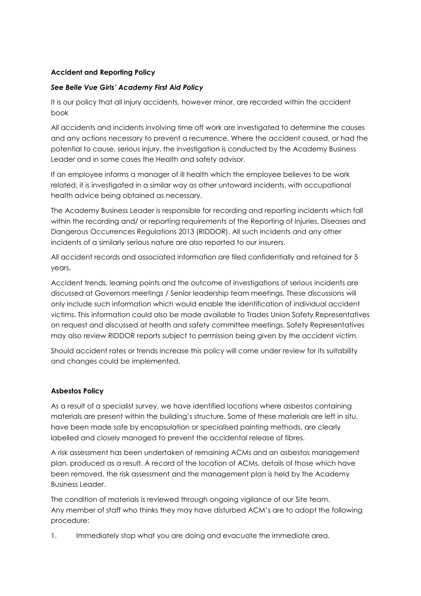# **Accident and Reporting Policy**

# *See Belle Vue Girls' Academy First Aid Policy*

It is our policy that all injury accidents, however minor, are recorded within the accident book

All accidents and incidents involving time off work are investigated to determine the causes and any actions necessary to prevent a recurrence. Where the accident caused, or had the potential to cause, serious injury, the investigation is conducted by the Academy Business Leader and in some cases the Health and safety advisor.

If an employee informs a manager of ill health which the employee believes to be work related, it is investigated in a similar way as other untoward incidents, with occupational health advice being obtained as necessary.

The Academy Business Leader is responsible for recording and reporting incidents which fall within the recording and/ or reporting requirements of the Reporting of Injuries, Diseases and Dangerous Occurrences Regulations 2013 (RIDDOR). All such incidents and any other incidents of a similarly serious nature are also reported to our insurers.

All accident records and associated information are filed confidentially and retained for 5 years.

Accident trends, learning points and the outcome of investigations of serious incidents are discussed at Governors meetings / Senior leadership team meetings. These discussions will only include such information which would enable the identification of individual accident victims. This information could also be made available to Trades Union Safety Representatives on request and discussed at health and safety committee meetings. Safety Representatives may also review RIDDOR reports subject to permission being given by the accident victim.

Should accident rates or trends increase this policy will come under review for its suitability and changes could be implemented.

# **Asbestos Policy**

As a result of a specialist survey, we have identified locations where asbestos containing materials are present within the building's structure. Some of these materials are left in situ, have been made safe by encapsulation or specialised painting methods, are clearly labelled and closely managed to prevent the accidental release of fibres.

A risk assessment has been undertaken of remaining ACMs and an asbestos management plan, produced as a result. A record of the location of ACMs, details of those which have been removed, the risk assessment and the management plan is held by the Academy Business Leader.

The condition of materials is reviewed through ongoing vigilance of our Site team. Any member of staff who thinks they may have disturbed ACM's are to adopt the following procedure:

1. Immediately stop what you are doing and evacuate the immediate area.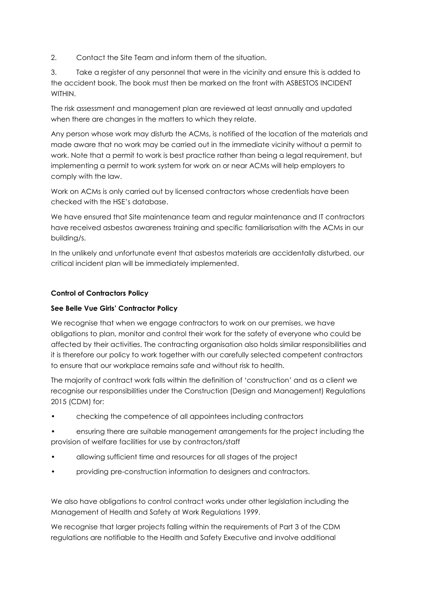2. Contact the Site Team and inform them of the situation.

3. Take a register of any personnel that were in the vicinity and ensure this is added to the accident book. The book must then be marked on the front with ASBESTOS INCIDENT **WITHIN** 

The risk assessment and management plan are reviewed at least annually and updated when there are changes in the matters to which they relate.

Any person whose work may disturb the ACMs, is notified of the location of the materials and made aware that no work may be carried out in the immediate vicinity without a permit to work. Note that a permit to work is best practice rather than being a legal requirement, but implementing a permit to work system for work on or near ACMs will help employers to comply with the law.

Work on ACMs is only carried out by licensed contractors whose credentials have been checked with the HSE's database.

We have ensured that Site maintenance team and regular maintenance and IT contractors have received asbestos awareness training and specific familiarisation with the ACMs in our building/s.

In the unlikely and unfortunate event that asbestos materials are accidentally disturbed, our critical incident plan will be immediately implemented.

# **Control of Contractors Policy**

# **See Belle Vue Girls' Contractor Policy**

We recognise that when we engage contractors to work on our premises, we have obligations to plan, monitor and control their work for the safety of everyone who could be affected by their activities. The contracting organisation also holds similar responsibilities and it is therefore our policy to work together with our carefully selected competent contractors to ensure that our workplace remains safe and without risk to health.

The majority of contract work falls within the definition of 'construction' and as a client we recognise our responsibilities under the Construction (Design and Management) Regulations 2015 (CDM) for:

- checking the competence of all appointees including contractors
- ensuring there are suitable management arrangements for the project including the provision of welfare facilities for use by contractors/staff
- allowing sufficient time and resources for all stages of the project
- providing pre-construction information to designers and contractors.

We also have obligations to control contract works under other legislation including the Management of Health and Safety at Work Regulations 1999.

We recognise that larger projects falling within the requirements of Part 3 of the CDM regulations are notifiable to the Health and Safety Executive and involve additional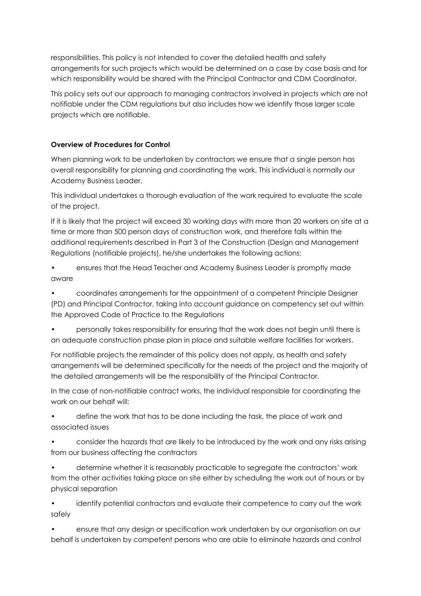responsibilities. This policy is not intended to cover the detailed health and safety arrangements for such projects which would be determined on a case by case basis and for which responsibility would be shared with the Principal Contractor and CDM Coordinator.

This policy sets out our approach to managing contractors involved in projects which are not notifiable under the CDM regulations but also includes how we identify those larger scale projects which are notifiable.

# **Overview of Procedures for Control**

When planning work to be undertaken by contractors we ensure that a single person has overall responsibility for planning and coordinating the work. This individual is normally our Academy Business Leader.

This individual undertakes a thorough evaluation of the work required to evaluate the scale of the project.

If it is likely that the project will exceed 30 working days with more than 20 workers on site at a time or more than 500 person days of construction work, and therefore falls within the additional requirements described in Part 3 of the Construction (Design and Management Regulations (notifiable projects), he/she undertakes the following actions:

• ensures that the Head Teacher and Academy Business Leader is promptly made aware

• coordinates arrangements for the appointment of a competent Principle Designer (PD) and Principal Contractor, taking into account guidance on competency set out within the Approved Code of Practice to the Regulations

• personally takes responsibility for ensuring that the work does not begin until there is an adequate construction phase plan in place and suitable welfare facilities for workers.

For notifiable projects the remainder of this policy does not apply, as health and safety arrangements will be determined specifically for the needs of the project and the majority of the detailed arrangements will be the responsibility of the Principal Contractor.

In the case of non-notifiable contract works, the individual responsible for coordinating the work on our behalf will:

• define the work that has to be done including the task, the place of work and associated issues

• consider the hazards that are likely to be introduced by the work and any risks arising from our business affecting the contractors

• determine whether it is reasonably practicable to segregate the contractors' work from the other activities taking place on site either by scheduling the work out of hours or by physical separation

• identify potential contractors and evaluate their competence to carry out the work safely

• ensure that any design or specification work undertaken by our organisation on our behalf is undertaken by competent persons who are able to eliminate hazards and control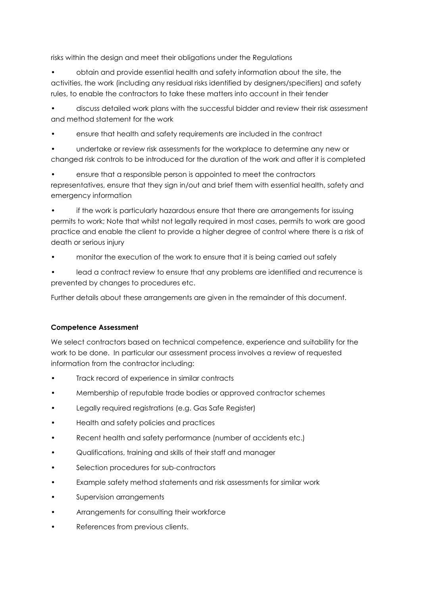risks within the design and meet their obligations under the Regulations

• obtain and provide essential health and safety information about the site, the activities, the work (including any residual risks identified by designers/specifiers) and safety rules, to enable the contractors to take these matters into account in their tender

• discuss detailed work plans with the successful bidder and review their risk assessment and method statement for the work

• ensure that health and safety requirements are included in the contract

• undertake or review risk assessments for the workplace to determine any new or changed risk controls to be introduced for the duration of the work and after it is completed

• ensure that a responsible person is appointed to meet the contractors representatives, ensure that they sign in/out and brief them with essential health, safety and emergency information

• if the work is particularly hazardous ensure that there are arrangements for issuing permits to work; Note that whilst not legally required in most cases, permits to work are good practice and enable the client to provide a higher degree of control where there is a risk of death or serious injury

• monitor the execution of the work to ensure that it is being carried out safely

lead a contract review to ensure that any problems are identified and recurrence is prevented by changes to procedures etc.

Further details about these arrangements are given in the remainder of this document.

# **Competence Assessment**

We select contractors based on technical competence, experience and suitability for the work to be done. In particular our assessment process involves a review of requested information from the contractor including:

- Track record of experience in similar contracts
- Membership of reputable trade bodies or approved contractor schemes
- Legally required registrations (e.g. Gas Safe Register)
- Health and safety policies and practices
- Recent health and safety performance (number of accidents etc.)
- Qualifications, training and skills of their staff and manager
- Selection procedures for sub-contractors
- Example safety method statements and risk assessments for similar work
- Supervision arrangements
- Arrangements for consulting their workforce
- References from previous clients.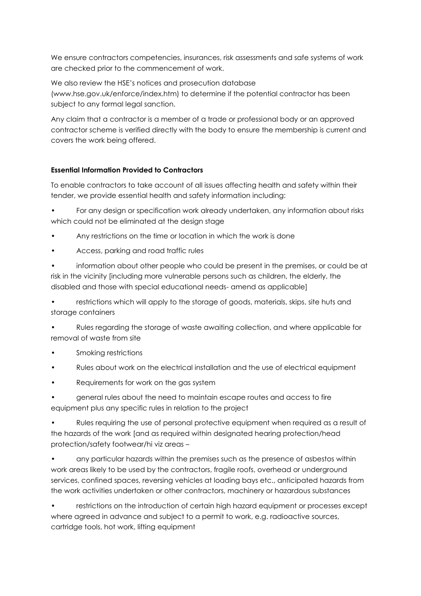We ensure contractors competencies, insurances, risk assessments and safe systems of work are checked prior to the commencement of work.

We also review the HSE's notices and prosecution database (www.hse.gov.uk/enforce/index.htm) to determine if the potential contractor has been subject to any formal legal sanction.

Any claim that a contractor is a member of a trade or professional body or an approved contractor scheme is verified directly with the body to ensure the membership is current and covers the work being offered.

# **Essential Information Provided to Contractors**

To enable contractors to take account of all issues affecting health and safety within their tender, we provide essential health and safety information including:

• For any design or specification work already undertaken, any information about risks which could not be eliminated at the design stage

- Any restrictions on the time or location in which the work is done
- Access, parking and road traffic rules

• information about other people who could be present in the premises, or could be at risk in the vicinity [including more vulnerable persons such as children, the elderly, the disabled and those with special educational needs- amend as applicable]

restrictions which will apply to the storage of goods, materials, skips, site huts and storage containers

• Rules regarding the storage of waste awaiting collection, and where applicable for removal of waste from site

- Smoking restrictions
- Rules about work on the electrical installation and the use of electrical equipment
- Requirements for work on the gas system

• general rules about the need to maintain escape routes and access to fire equipment plus any specific rules in relation to the project

• Rules requiring the use of personal protective equipment when required as a result of the hazards of the work [and as required within designated hearing protection/head protection/safety footwear/hi viz areas –

• any particular hazards within the premises such as the presence of asbestos within work areas likely to be used by the contractors, fragile roofs, overhead or underground services, confined spaces, reversing vehicles at loading bays etc., anticipated hazards from the work activities undertaken or other contractors, machinery or hazardous substances

• restrictions on the introduction of certain high hazard equipment or processes except where agreed in advance and subject to a permit to work, e.g. radioactive sources, cartridge tools, hot work, lifting equipment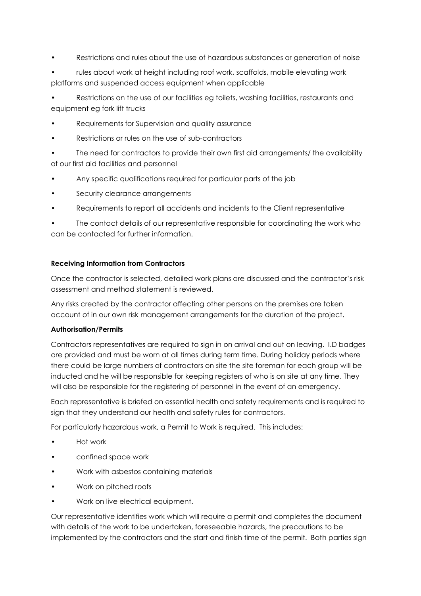- Restrictions and rules about the use of hazardous substances or generation of noise
- rules about work at height including roof work, scaffolds, mobile elevating work platforms and suspended access equipment when applicable

• Restrictions on the use of our facilities eg toilets, washing facilities, restaurants and equipment eg fork lift trucks

- Requirements for Supervision and quality assurance
- Restrictions or rules on the use of sub-contractors

• The need for contractors to provide their own first aid arrangements/ the availability of our first aid facilities and personnel

- Any specific qualifications required for particular parts of the job
- Security clearance arrangements
- Requirements to report all accidents and incidents to the Client representative

The contact details of our representative responsible for coordinating the work who can be contacted for further information.

# **Receiving Information from Contractors**

Once the contractor is selected, detailed work plans are discussed and the contractor's risk assessment and method statement is reviewed.

Any risks created by the contractor affecting other persons on the premises are taken account of in our own risk management arrangements for the duration of the project.

# **Authorisation/Permits**

Contractors representatives are required to sign in on arrival and out on leaving. I.D badges are provided and must be worn at all times during term time. During holiday periods where there could be large numbers of contractors on site the site foreman for each group will be inducted and he will be responsible for keeping registers of who is on site at any time. They will also be responsible for the registering of personnel in the event of an emergency.

Each representative is briefed on essential health and safety requirements and is required to sign that they understand our health and safety rules for contractors.

For particularly hazardous work, a Permit to Work is required. This includes:

- Hot work
- confined space work
- Work with asbestos containing materials
- Work on pitched roofs
- Work on live electrical equipment.

Our representative identifies work which will require a permit and completes the document with details of the work to be undertaken, foreseeable hazards, the precautions to be implemented by the contractors and the start and finish time of the permit. Both parties sign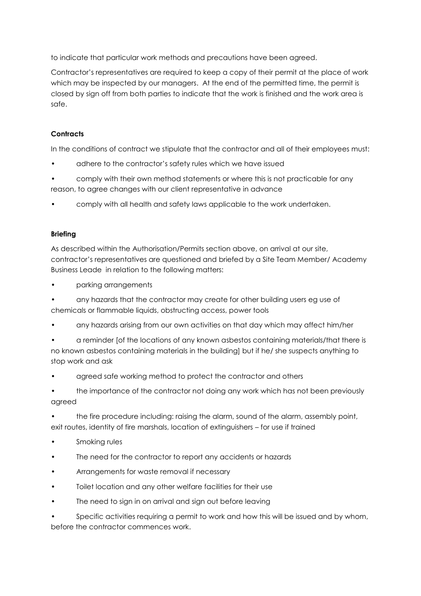to indicate that particular work methods and precautions have been agreed.

Contractor's representatives are required to keep a copy of their permit at the place of work which may be inspected by our managers. At the end of the permitted time, the permit is closed by sign off from both parties to indicate that the work is finished and the work area is safe.

# **Contracts**

In the conditions of contract we stipulate that the contractor and all of their employees must:

- adhere to the contractor's safety rules which we have issued
- comply with their own method statements or where this is not practicable for any reason, to agree changes with our client representative in advance
- comply with all health and safety laws applicable to the work undertaken.

# **Briefing**

As described within the Authorisation/Permits section above, on arrival at our site, contractor's representatives are questioned and briefed by a Site Team Member/ Academy Business Leade in relation to the following matters:

• parking arrangements

• any hazards that the contractor may create for other building users eg use of chemicals or flammable liquids, obstructing access, power tools

• any hazards arising from our own activities on that day which may affect him/her

• a reminder [of the locations of any known asbestos containing materials/that there is no known asbestos containing materials in the building] but if he/ she suspects anything to stop work and ask

agreed safe working method to protect the contractor and others

• the importance of the contractor not doing any work which has not been previously agreed

• the fire procedure including: raising the alarm, sound of the alarm, assembly point, exit routes, identity of fire marshals, location of extinguishers – for use if trained

- Smoking rules
- The need for the contractor to report any accidents or hazards
- Arrangements for waste removal if necessary
- Toilet location and any other welfare facilities for their use
- The need to sign in on arrival and sign out before leaving

Specific activities requiring a permit to work and how this will be issued and by whom, before the contractor commences work.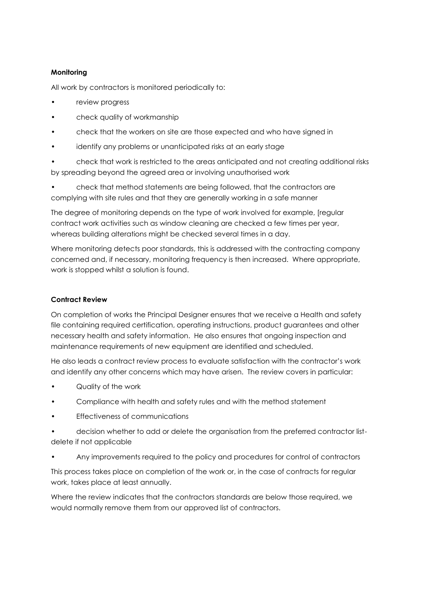# **Monitoring**

All work by contractors is monitored periodically to:

- review progress
- check quality of workmanship
- check that the workers on site are those expected and who have signed in
- identify any problems or unanticipated risks at an early stage

• check that work is restricted to the areas anticipated and not creating additional risks by spreading beyond the agreed area or involving unauthorised work

• check that method statements are being followed, that the contractors are complying with site rules and that they are generally working in a safe manner

The degree of monitoring depends on the type of work involved for example, [regular contract work activities such as window cleaning are checked a few times per year, whereas building alterations might be checked several times in a day.

Where monitoring detects poor standards, this is addressed with the contracting company concerned and, if necessary, monitoring frequency is then increased. Where appropriate, work is stopped whilst a solution is found.

# **Contract Review**

On completion of works the Principal Designer ensures that we receive a Health and safety file containing required certification, operating instructions, product guarantees and other necessary health and safety information. He also ensures that ongoing inspection and maintenance requirements of new equipment are identified and scheduled.

He also leads a contract review process to evaluate satisfaction with the contractor's work and identify any other concerns which may have arisen. The review covers in particular:

- Quality of the work
- Compliance with health and safety rules and with the method statement
- Effectiveness of communications
- decision whether to add or delete the organisation from the preferred contractor listdelete if not applicable
- Any improvements required to the policy and procedures for control of contractors

This process takes place on completion of the work or, in the case of contracts for regular work, takes place at least annually.

Where the review indicates that the contractors standards are below those required, we would normally remove them from our approved list of contractors.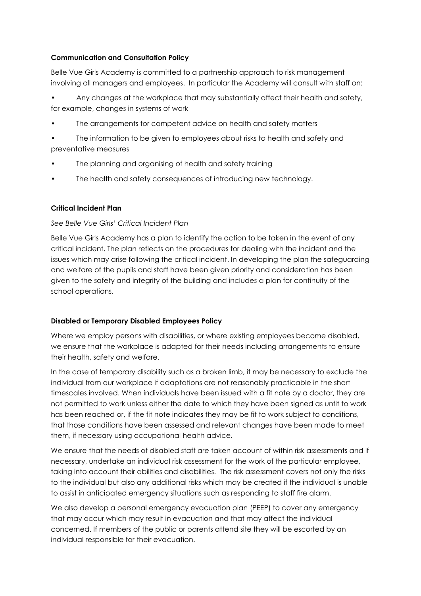# **Communication and Consultation Policy**

Belle Vue Girls Academy is committed to a partnership approach to risk management involving all managers and employees. In particular the Academy will consult with staff on:

• Any changes at the workplace that may substantially affect their health and safety, for example, changes in systems of work

The arrangements for competent advice on health and safety matters

• The information to be given to employees about risks to health and safety and preventative measures

- The planning and organising of health and safety training
- The health and safety consequences of introducing new technology.

#### **Critical Incident Plan**

#### *See Belle Vue Girls' Critical Incident Plan*

Belle Vue Girls Academy has a plan to identify the action to be taken in the event of any critical incident. The plan reflects on the procedures for dealing with the incident and the issues which may arise following the critical incident. In developing the plan the safeguarding and welfare of the pupils and staff have been given priority and consideration has been given to the safety and integrity of the building and includes a plan for continuity of the school operations.

#### **Disabled or Temporary Disabled Employees Policy**

Where we employ persons with disabilities, or where existing employees become disabled, we ensure that the workplace is adapted for their needs including arrangements to ensure their health, safety and welfare.

In the case of temporary disability such as a broken limb, it may be necessary to exclude the individual from our workplace if adaptations are not reasonably practicable in the short timescales involved. When individuals have been issued with a fit note by a doctor, they are not permitted to work unless either the date to which they have been signed as unfit to work has been reached or, if the fit note indicates they may be fit to work subject to conditions, that those conditions have been assessed and relevant changes have been made to meet them, if necessary using occupational health advice.

We ensure that the needs of disabled staff are taken account of within risk assessments and if necessary, undertake an individual risk assessment for the work of the particular employee, taking into account their abilities and disabilities. The risk assessment covers not only the risks to the individual but also any additional risks which may be created if the individual is unable to assist in anticipated emergency situations such as responding to staff fire alarm.

We also develop a personal emergency evacuation plan (PEEP) to cover any emergency that may occur which may result in evacuation and that may affect the individual concerned. If members of the public or parents attend site they will be escorted by an individual responsible for their evacuation.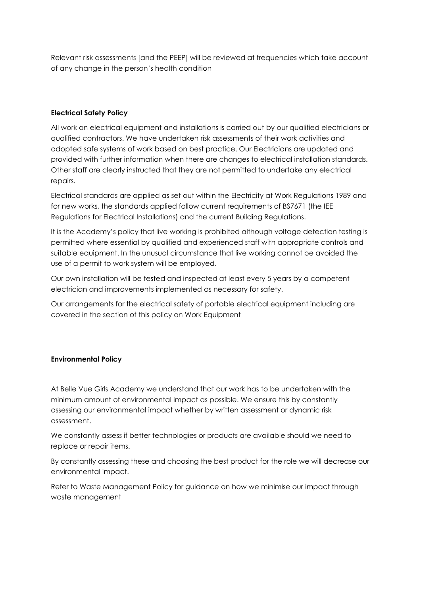Relevant risk assessments [and the PEEP] will be reviewed at frequencies which take account of any change in the person's health condition

#### **Electrical Safety Policy**

All work on electrical equipment and installations is carried out by our qualified electricians or qualified contractors. We have undertaken risk assessments of their work activities and adopted safe systems of work based on best practice. Our Electricians are updated and provided with further information when there are changes to electrical installation standards. Other staff are clearly instructed that they are not permitted to undertake any electrical repairs.

Electrical standards are applied as set out within the Electricity at Work Regulations 1989 and for new works, the standards applied follow current requirements of BS7671 (the IEE Regulations for Electrical Installations) and the current Building Regulations.

It is the Academy's policy that live working is prohibited although voltage detection testing is permitted where essential by qualified and experienced staff with appropriate controls and suitable equipment. In the unusual circumstance that live working cannot be avoided the use of a permit to work system will be employed.

Our own installation will be tested and inspected at least every 5 years by a competent electrician and improvements implemented as necessary for safety.

Our arrangements for the electrical safety of portable electrical equipment including are covered in the section of this policy on Work Equipment

#### **Environmental Policy**

At Belle Vue Girls Academy we understand that our work has to be undertaken with the minimum amount of environmental impact as possible. We ensure this by constantly assessing our environmental impact whether by written assessment or dynamic risk assessment.

We constantly assess if better technologies or products are available should we need to replace or repair items.

By constantly assessing these and choosing the best product for the role we will decrease our environmental impact.

Refer to Waste Management Policy for guidance on how we minimise our impact through waste management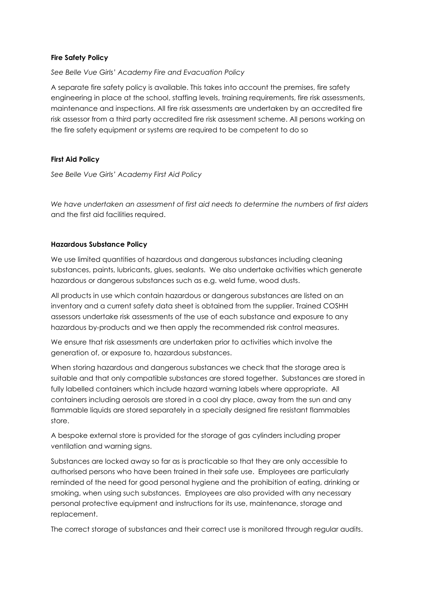#### **Fire Safety Policy**

*See Belle Vue Girls' Academy Fire and Evacuation Policy*

A separate fire safety policy is available. This takes into account the premises, fire safety engineering in place at the school, staffing levels, training requirements, fire risk assessments, maintenance and inspections. All fire risk assessments are undertaken by an accredited fire risk assessor from a third party accredited fire risk assessment scheme. All persons working on the fire safety equipment or systems are required to be competent to do so

#### **First Aid Policy**

*See Belle Vue Girls' Academy First Aid Policy*

*We have undertaken an assessment of first aid needs to determine the numbers of first aiders*  and the first aid facilities required.

#### **Hazardous Substance Policy**

We use limited quantities of hazardous and dangerous substances including cleaning substances, paints, lubricants, glues, sealants. We also undertake activities which generate hazardous or dangerous substances such as e.g. weld fume, wood dusts.

All products in use which contain hazardous or dangerous substances are listed on an inventory and a current safety data sheet is obtained from the supplier. Trained COSHH assessors undertake risk assessments of the use of each substance and exposure to any hazardous by-products and we then apply the recommended risk control measures.

We ensure that risk assessments are undertaken prior to activities which involve the generation of, or exposure to, hazardous substances.

When storing hazardous and dangerous substances we check that the storage area is suitable and that only compatible substances are stored together. Substances are stored in fully labelled containers which include hazard warning labels where appropriate. All containers including aerosols are stored in a cool dry place, away from the sun and any flammable liquids are stored separately in a specially designed fire resistant flammables store.

A bespoke external store is provided for the storage of gas cylinders including proper ventilation and warning signs.

Substances are locked away so far as is practicable so that they are only accessible to authorised persons who have been trained in their safe use. Employees are particularly reminded of the need for good personal hygiene and the prohibition of eating, drinking or smoking, when using such substances. Employees are also provided with any necessary personal protective equipment and instructions for its use, maintenance, storage and replacement.

The correct storage of substances and their correct use is monitored through regular audits.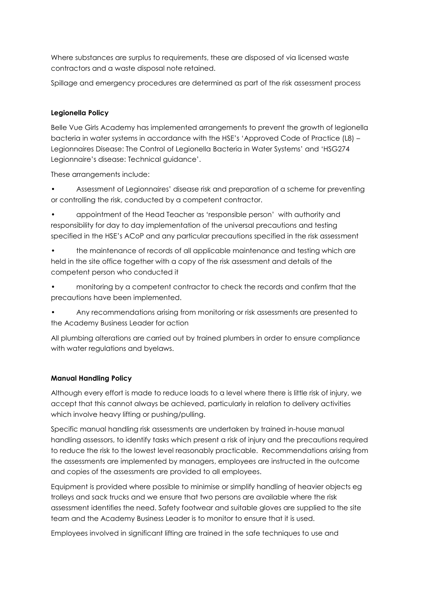Where substances are surplus to requirements, these are disposed of via licensed waste contractors and a waste disposal note retained.

Spillage and emergency procedures are determined as part of the risk assessment process

# **Legionella Policy**

Belle Vue Girls Academy has implemented arrangements to prevent the growth of legionella bacteria in water systems in accordance with the HSE's 'Approved Code of Practice (L8) – Legionnaires Disease: The Control of Legionella Bacteria in Water Systems' and 'HSG274 Legionnaire's disease: Technical guidance'.

These arrangements include:

- Assessment of Legionnaires' disease risk and preparation of a scheme for preventing or controlling the risk, conducted by a competent contractor.
- appointment of the Head Teacher as 'responsible person' with authority and responsibility for day to day implementation of the universal precautions and testing specified in the HSE's ACoP and any particular precautions specified in the risk assessment
- the maintenance of records of all applicable maintenance and testing which are held in the site office together with a copy of the risk assessment and details of the competent person who conducted it
- monitoring by a competent contractor to check the records and confirm that the precautions have been implemented.
- Any recommendations arising from monitoring or risk assessments are presented to the Academy Business Leader for action

All plumbing alterations are carried out by trained plumbers in order to ensure compliance with water regulations and byelaws.

# **Manual Handling Policy**

Although every effort is made to reduce loads to a level where there is little risk of injury, we accept that this cannot always be achieved, particularly in relation to delivery activities which involve heavy lifting or pushing/pulling.

Specific manual handling risk assessments are undertaken by trained in-house manual handling assessors, to identify tasks which present a risk of injury and the precautions required to reduce the risk to the lowest level reasonably practicable. Recommendations arising from the assessments are implemented by managers, employees are instructed in the outcome and copies of the assessments are provided to all employees.

Equipment is provided where possible to minimise or simplify handling of heavier objects eg trolleys and sack trucks and we ensure that two persons are available where the risk assessment identifies the need. Safety footwear and suitable gloves are supplied to the site team and the Academy Business Leader is to monitor to ensure that it is used.

Employees involved in significant lifting are trained in the safe techniques to use and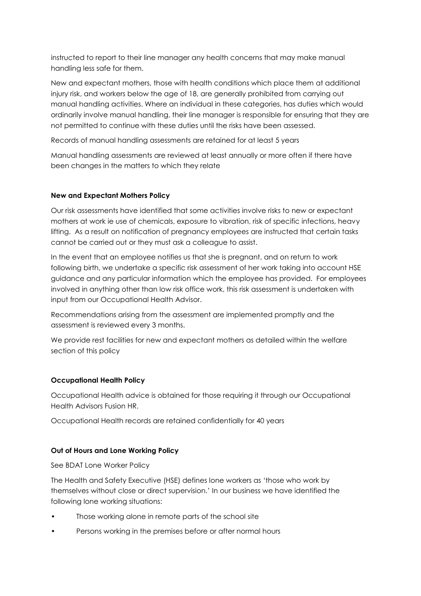instructed to report to their line manager any health concerns that may make manual handling less safe for them.

New and expectant mothers, those with health conditions which place them at additional injury risk, and workers below the age of 18, are generally prohibited from carrying out manual handling activities. Where an individual in these categories, has duties which would ordinarily involve manual handling, their line manager is responsible for ensuring that they are not permitted to continue with these duties until the risks have been assessed.

Records of manual handling assessments are retained for at least 5 years

Manual handling assessments are reviewed at least annually or more often if there have been changes in the matters to which they relate

#### **New and Expectant Mothers Policy**

Our risk assessments have identified that some activities involve risks to new or expectant mothers at work ie use of chemicals, exposure to vibration, risk of specific infections, heavy lifting. As a result on notification of pregnancy employees are instructed that certain tasks cannot be carried out or they must ask a colleague to assist.

In the event that an employee notifies us that she is pregnant, and on return to work following birth, we undertake a specific risk assessment of her work taking into account HSE guidance and any particular information which the employee has provided. For employees involved in anything other than low risk office work, this risk assessment is undertaken with input from our Occupational Health Advisor.

Recommendations arising from the assessment are implemented promptly and the assessment is reviewed every 3 months.

We provide rest facilities for new and expectant mothers as detailed within the welfare section of this policy

# **Occupational Health Policy**

Occupational Health advice is obtained for those requiring it through our Occupational Health Advisors Fusion HR.

Occupational Health records are retained confidentially for 40 years

# **Out of Hours and Lone Working Policy**

See BDAT Lone Worker Policy

The Health and Safety Executive (HSE) defines lone workers as 'those who work by themselves without close or direct supervision.' In our business we have identified the following lone working situations:

- Those working alone in remote parts of the school site
- Persons working in the premises before or after normal hours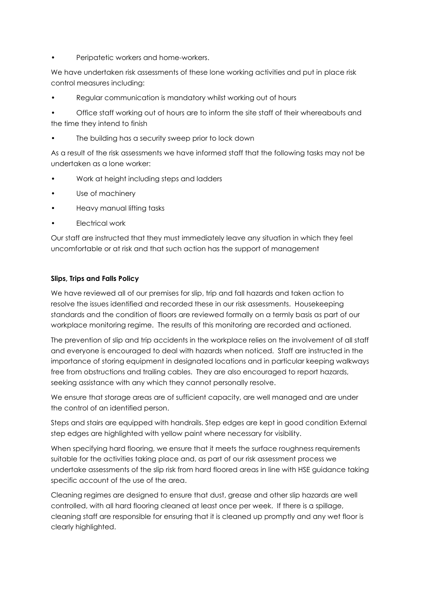Peripatetic workers and home-workers.

We have undertaken risk assessments of these lone working activities and put in place risk control measures including:

• Regular communication is mandatory whilst working out of hours

• Office staff working out of hours are to inform the site staff of their whereabouts and the time they intend to finish

The building has a security sweep prior to lock down

As a result of the risk assessments we have informed staff that the following tasks may not be undertaken as a lone worker:

- Work at height including steps and ladders
- Use of machinery
- Heavy manual lifting tasks
- Electrical work

Our staff are instructed that they must immediately leave any situation in which they feel uncomfortable or at risk and that such action has the support of management

# **Slips, Trips and Falls Policy**

We have reviewed all of our premises for slip, trip and fall hazards and taken action to resolve the issues identified and recorded these in our risk assessments. Housekeeping standards and the condition of floors are reviewed formally on a termly basis as part of our workplace monitoring regime. The results of this monitoring are recorded and actioned.

The prevention of slip and trip accidents in the workplace relies on the involvement of all staff and everyone is encouraged to deal with hazards when noticed. Staff are instructed in the importance of storing equipment in designated locations and in particular keeping walkways free from obstructions and trailing cables. They are also encouraged to report hazards, seeking assistance with any which they cannot personally resolve.

We ensure that storage areas are of sufficient capacity, are well managed and are under the control of an identified person.

Steps and stairs are equipped with handrails. Step edges are kept in good condition External step edges are highlighted with yellow paint where necessary for visibility.

When specifying hard flooring, we ensure that it meets the surface roughness requirements suitable for the activities taking place and, as part of our risk assessment process we undertake assessments of the slip risk from hard floored areas in line with HSE guidance taking specific account of the use of the area.

Cleaning regimes are designed to ensure that dust, grease and other slip hazards are well controlled, with all hard flooring cleaned at least once per week. If there is a spillage, cleaning staff are responsible for ensuring that it is cleaned up promptly and any wet floor is clearly highlighted.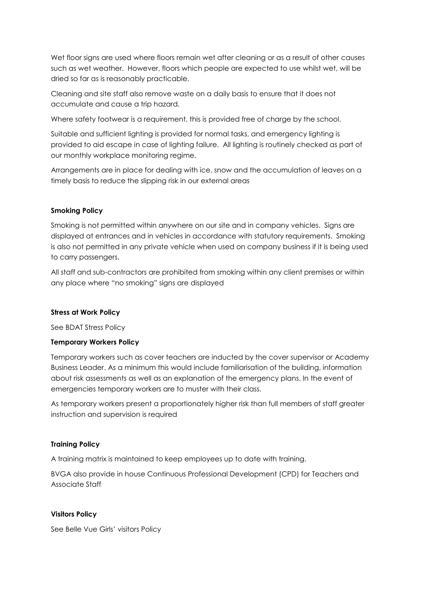Wet floor signs are used where floors remain wet after cleaning or as a result of other causes such as wet weather. However, floors which people are expected to use whilst wet, will be dried so far as is reasonably practicable.

Cleaning and site staff also remove waste on a daily basis to ensure that it does not accumulate and cause a trip hazard.

Where safety footwear is a requirement, this is provided free of charge by the school.

Suitable and sufficient lighting is provided for normal tasks, and emergency lighting is provided to aid escape in case of lighting failure. All lighting is routinely checked as part of our monthly workplace monitoring regime.

Arrangements are in place for dealing with ice, snow and the accumulation of leaves on a timely basis to reduce the slipping risk in our external areas

#### **Smoking Policy**

Smoking is not permitted within anywhere on our site and in company vehicles. Signs are displayed at entrances and in vehicles in accordance with statutory requirements. Smoking is also not permitted in any private vehicle when used on company business if it is being used to carry passengers.

All staff and sub-contractors are prohibited from smoking within any client premises or within any place where "no smoking" signs are displayed

#### **Stress at Work Policy**

See BDAT Stress Policy

#### **Temporary Workers Policy**

Temporary workers such as cover teachers are inducted by the cover supervisor or Academy Business Leader. As a minimum this would include familiarisation of the building, information about risk assessments as well as an explanation of the emergency plans. In the event of emergencies temporary workers are to muster with their class.

As temporary workers present a proportionately higher risk than full members of staff greater instruction and supervision is required

#### **Training Policy**

A training matrix is maintained to keep employees up to date with training.

BVGA also provide in house Continuous Professional Development (CPD) for Teachers and Associate Staff

#### **Visitors Policy**

See Belle Vue Girls' visitors Policy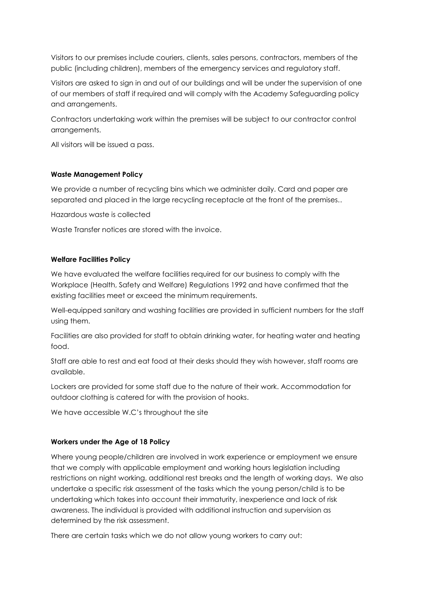Visitors to our premises include couriers, clients, sales persons, contractors, members of the public (including children), members of the emergency services and regulatory staff.

Visitors are asked to sign in and out of our buildings and will be under the supervision of one of our members of staff if required and will comply with the Academy Safeguarding policy and arrangements.

Contractors undertaking work within the premises will be subject to our contractor control arrangements.

All visitors will be issued a pass.

#### **Waste Management Policy**

We provide a number of recycling bins which we administer daily. Card and paper are separated and placed in the large recycling receptacle at the front of the premises..

Hazardous waste is collected

Waste Transfer notices are stored with the invoice.

#### **Welfare Facilities Policy**

We have evaluated the welfare facilities required for our business to comply with the Workplace (Health, Safety and Welfare) Regulations 1992 and have confirmed that the existing facilities meet or exceed the minimum requirements.

Well-equipped sanitary and washing facilities are provided in sufficient numbers for the staff using them.

Facilities are also provided for staff to obtain drinking water, for heating water and heating food.

Staff are able to rest and eat food at their desks should they wish however, staff rooms are available.

Lockers are provided for some staff due to the nature of their work. Accommodation for outdoor clothing is catered for with the provision of hooks.

We have accessible W.C's throughout the site

# **Workers under the Age of 18 Policy**

Where young people/children are involved in work experience or employment we ensure that we comply with applicable employment and working hours legislation including restrictions on night working, additional rest breaks and the length of working days. We also undertake a specific risk assessment of the tasks which the young person/child is to be undertaking which takes into account their immaturity, inexperience and lack of risk awareness. The individual is provided with additional instruction and supervision as determined by the risk assessment.

There are certain tasks which we do not allow young workers to carry out: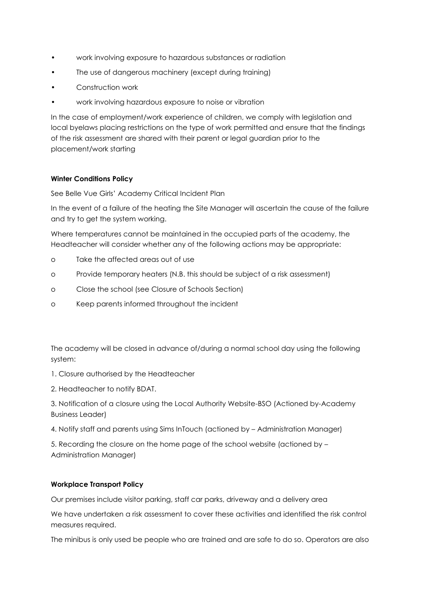- work involving exposure to hazardous substances or radiation
- The use of dangerous machinery (except during training)
- Construction work
- work involving hazardous exposure to noise or vibration

In the case of employment/work experience of children, we comply with legislation and local byelaws placing restrictions on the type of work permitted and ensure that the findings of the risk assessment are shared with their parent or legal guardian prior to the placement/work starting

# **Winter Conditions Policy**

See Belle Vue Girls' Academy Critical Incident Plan

In the event of a failure of the heating the Site Manager will ascertain the cause of the failure and try to get the system working.

Where temperatures cannot be maintained in the occupied parts of the academy, the Headteacher will consider whether any of the following actions may be appropriate:

- o Take the affected areas out of use
- o Provide temporary heaters (N.B. this should be subject of a risk assessment)
- o Close the school (see Closure of Schools Section)
- o Keep parents informed throughout the incident

The academy will be closed in advance of/during a normal school day using the following system:

- 1. Closure authorised by the Headteacher
- 2. Headteacher to notify BDAT.

3. Notification of a closure using the Local Authority Website-BSO (Actioned by-Academy Business Leader)

4. Notify staff and parents using Sims InTouch (actioned by – Administration Manager)

5. Recording the closure on the home page of the school website (actioned by – Administration Manager)

#### **Workplace Transport Policy**

Our premises include visitor parking, staff car parks, driveway and a delivery area

We have undertaken a risk assessment to cover these activities and identified the risk control measures required.

The minibus is only used be people who are trained and are safe to do so. Operators are also